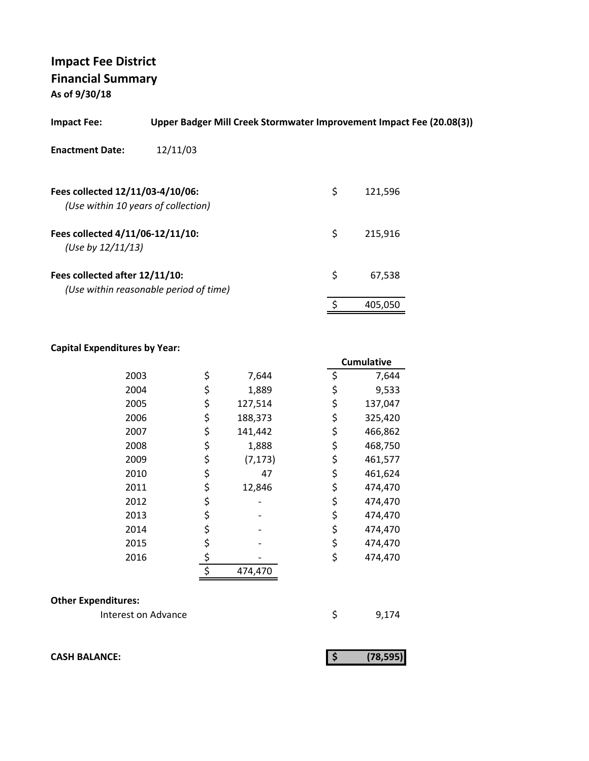**As of 9/30/18**

| <b>Impact Fee:</b>                                                      | Upper Badger Mill Creek Stormwater Improvement Impact Fee (20.08(3)) |    |         |
|-------------------------------------------------------------------------|----------------------------------------------------------------------|----|---------|
| <b>Enactment Date:</b>                                                  | 12/11/03                                                             |    |         |
| Fees collected 12/11/03-4/10/06:<br>(Use within 10 years of collection) |                                                                      | \$ | 121,596 |
| Fees collected 4/11/06-12/11/10:<br>(Use by $12/11/13$ )                |                                                                      | \$ | 215,916 |
| Fees collected after 12/11/10:                                          | (Use within reasonable period of time)                               | \$ | 67,538  |
|                                                                         |                                                                      | ς  | 405,050 |

#### **Capital Expenditures by Year:**

|      |                | <b>Cumulative</b> |
|------|----------------|-------------------|
| 2003 | \$<br>7,644    | \$<br>7,644       |
| 2004 | \$<br>1,889    | \$<br>9,533       |
| 2005 | \$<br>127,514  | \$<br>137,047     |
| 2006 | \$<br>188,373  | \$<br>325,420     |
| 2007 | \$<br>141,442  | \$<br>466,862     |
| 2008 | \$<br>1,888    | \$<br>468,750     |
| 2009 | \$<br>(7, 173) | \$<br>461,577     |
| 2010 | \$<br>47       | \$<br>461,624     |
| 2011 | \$<br>12,846   | \$<br>474,470     |
| 2012 | \$             | \$<br>474,470     |
| 2013 | \$             | \$<br>474,470     |
| 2014 | \$             | \$<br>474,470     |
| 2015 | \$             | \$<br>474,470     |
| 2016 | \$             | \$<br>474,470     |
|      | \$<br>474,470  |                   |

#### **Other Expenditures:**

Interest on Advance \$ 9,174

**CASH BALANCE:** (78,595)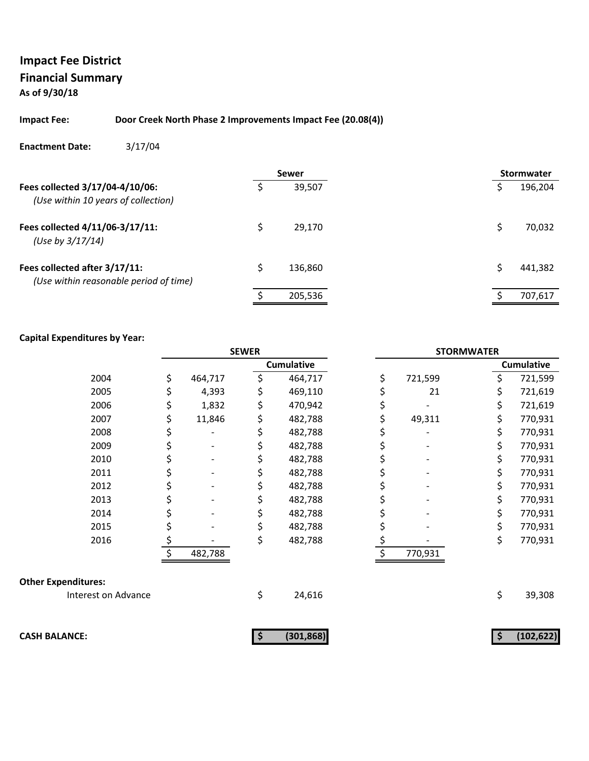### **Impact Fee District Financial Summary As of 9/30/18**

#### **Impact Fee: Door Creek North Phase 2 Improvements Impact Fee (20.08(4))**

#### **Enactment Date:** 3/17/04

|                                                                         | <b>Sewer</b>  |  | <b>Stormwater</b> |
|-------------------------------------------------------------------------|---------------|--|-------------------|
| Fees collected 3/17/04-4/10/06:<br>(Use within 10 years of collection)  | 39,507        |  | 196,204           |
| Fees collected 4/11/06-3/17/11:<br>(Use by 3/17/14)                     | 29,170        |  | 70,032            |
| Fees collected after 3/17/11:<br>(Use within reasonable period of time) | \$<br>136,860 |  | 441,382           |
|                                                                         | 205,536       |  | 707,617           |

|                            | <b>SEWER</b> |         | <b>STORMWATER</b> |    |         |    |                   |
|----------------------------|--------------|---------|-------------------|----|---------|----|-------------------|
|                            |              |         | <b>Cumulative</b> |    |         |    | <b>Cumulative</b> |
| 2004                       | \$           | 464,717 | \$<br>464,717     | \$ | 721,599 | \$ | 721,599           |
| 2005                       | \$           | 4,393   | 469,110           |    | 21      | \$ | 721,619           |
| 2006                       | \$           | 1,832   | 470,942           | \$ |         | \$ | 721,619           |
| 2007                       | \$           | 11,846  | 482,788           | \$ | 49,311  | \$ | 770,931           |
| 2008                       | \$           |         | 482,788           |    |         | \$ | 770,931           |
| 2009                       | \$           |         | 482,788           |    |         | \$ | 770,931           |
| 2010                       | \$           |         | 482,788           | \$ |         | \$ | 770,931           |
| 2011                       |              |         | 482,788           |    |         | \$ | 770,931           |
| 2012                       | \$           |         | 482,788           | \$ |         | \$ | 770,931           |
| 2013                       | \$           |         | 482,788           | \$ |         | \$ | 770,931           |
| 2014                       |              |         | 482,788           |    |         | \$ | 770,931           |
| 2015                       | \$           |         | 482,788           |    |         | \$ | 770,931           |
| 2016                       | \$           |         | 482,788           | \$ |         | \$ | 770,931           |
|                            | \$           | 482,788 |                   | Ś  | 770,931 |    |                   |
| <b>Other Expenditures:</b> |              |         |                   |    |         |    |                   |
| Interest on Advance        |              |         | \$<br>24,616      |    |         | \$ | 39,308            |
| <b>CASH BALANCE:</b>       |              |         | (301, 868)        |    |         | \$ | (102, 622)        |
|                            |              |         |                   |    |         |    |                   |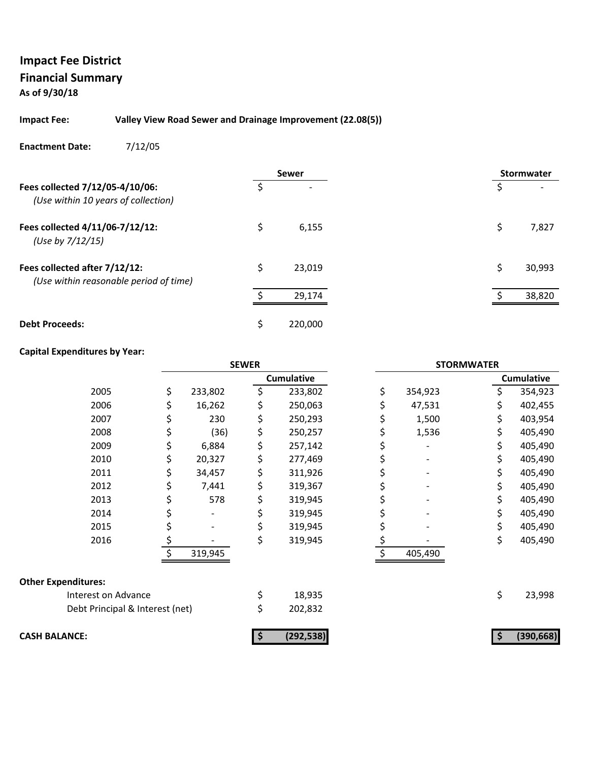### **Impact Fee District Financial Summary As of 9/30/18**

#### **Impact Fee: Valley View Road Sewer and Drainage Improvement (22.08(5))**

#### **Enactment Date:** 7/12/05

|                                                                         |    | <b>Sewer</b> |  | <b>Stormwater</b> |
|-------------------------------------------------------------------------|----|--------------|--|-------------------|
| Fees collected 7/12/05-4/10/06:<br>(Use within 10 years of collection)  |    |              |  |                   |
| Fees collected 4/11/06-7/12/12:<br>(Use by 7/12/15)                     | \$ | 6,155        |  | \$<br>7,827       |
| Fees collected after 7/12/12:<br>(Use within reasonable period of time) | \$ | 23,019       |  | \$<br>30,993      |
|                                                                         |    | 29,174       |  | 38,820            |
| <b>Debt Proceeds:</b>                                                   | Ś  | 220,000      |  |                   |

|                                 | <b>SEWER</b>  |    | <b>STORMWATER</b> |    |         |    |                   |
|---------------------------------|---------------|----|-------------------|----|---------|----|-------------------|
|                                 |               |    | <b>Cumulative</b> |    |         |    | <b>Cumulative</b> |
| 2005                            | \$<br>233,802 | \$ | 233,802           | \$ | 354,923 |    | 354,923           |
| 2006                            | 16,262        |    | 250,063           |    | 47,531  | \$ | 402,455           |
| 2007                            | 230           |    | 250,293           |    | 1,500   | \$ | 403,954           |
| 2008                            | (36)          | \$ | 250,257           |    | 1,536   | \$ | 405,490           |
| 2009                            | 6,884         |    | 257,142           |    |         | \$ | 405,490           |
| 2010                            | 20,327        | Ş  | 277,469           |    |         | \$ | 405,490           |
| 2011                            | 34,457        |    | 311,926           |    |         | \$ | 405,490           |
| 2012                            | \$<br>7,441   | Ş  | 319,367           |    |         | \$ | 405,490           |
| 2013                            | 578           |    | 319,945           |    |         | \$ | 405,490           |
| 2014                            |               |    | 319,945           |    |         | \$ | 405,490           |
| 2015                            |               |    | 319,945           |    |         | \$ | 405,490           |
| 2016                            |               | \$ | 319,945           |    |         | \$ | 405,490           |
|                                 | 319,945       |    |                   |    | 405,490 |    |                   |
| <b>Other Expenditures:</b>      |               |    |                   |    |         |    |                   |
| Interest on Advance             |               |    | 18,935            |    |         | \$ | 23,998            |
| Debt Principal & Interest (net) |               |    | 202,832           |    |         |    |                   |
| <b>CASH BALANCE:</b>            |               | Ş  | (292, 538)        |    |         |    | (390, 668)        |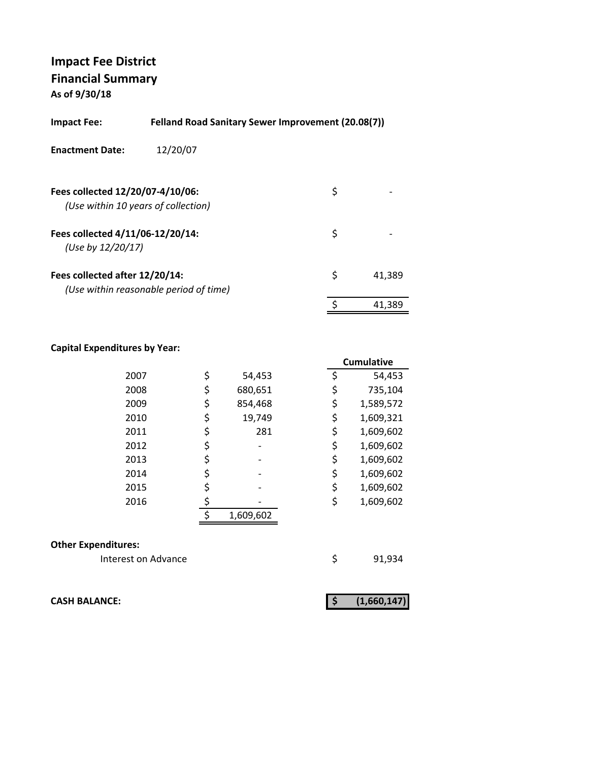**As of 9/30/18**

| <b>Felland Road Sanitary Sewer Improvement (20.08(7))</b><br><b>Impact Fee:</b> |                                        |    |        |  |  |
|---------------------------------------------------------------------------------|----------------------------------------|----|--------|--|--|
| <b>Enactment Date:</b>                                                          | 12/20/07                               |    |        |  |  |
| Fees collected 12/20/07-4/10/06:                                                | (Use within 10 years of collection)    | \$ |        |  |  |
| Fees collected 4/11/06-12/20/14:<br>(Use by 12/20/17)                           |                                        | \$ |        |  |  |
| Fees collected after 12/20/14:                                                  | (Use within reasonable period of time) | \$ | 41.389 |  |  |
|                                                                                 |                                        | \$ | 41.389 |  |  |

#### **Capital Expenditures by Year:**

|      |               |    | Cumulative |
|------|---------------|----|------------|
| 2007 | \$<br>54,453  | \$ | 54,453     |
| 2008 | \$<br>680,651 | \$ | 735,104    |
| 2009 | \$<br>854,468 | \$ | 1,589,572  |
| 2010 | \$<br>19,749  | \$ | 1,609,321  |
| 2011 | \$<br>281     | \$ | 1,609,602  |
| 2012 |               | \$ | 1,609,602  |
| 2013 | \$            | \$ | 1,609,602  |
| 2014 | \$            | \$ | 1,609,602  |
| 2015 |               | \$ | 1,609,602  |
| 2016 |               | \$ | 1,609,602  |
|      | 1,609,602     |    |            |
|      |               |    |            |

#### **Other Expenditures:**

Interest on Advance **1998** \$91,934

**CASH BALANCE: (1,660,147) \$**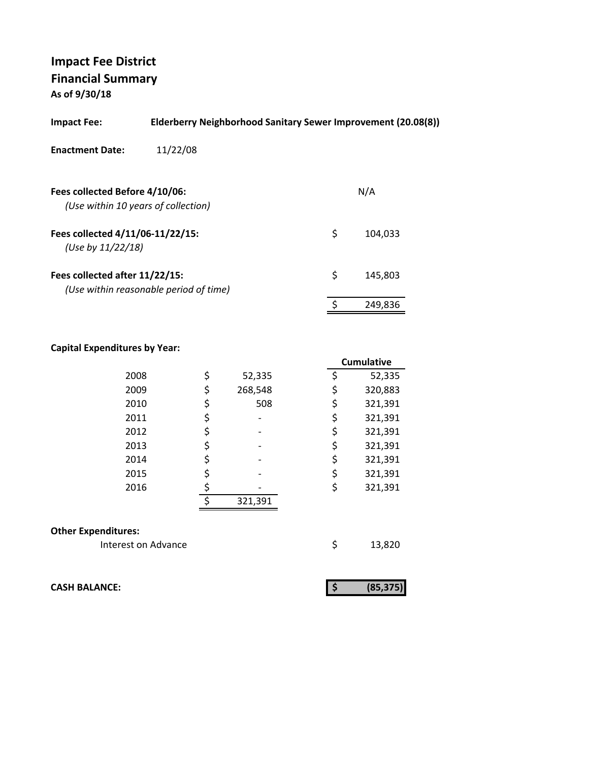**As of 9/30/18**

| <b>Impact Fee:</b>                                                    | Elderberry Neighborhood Sanitary Sewer Improvement (20.08(8)) |    |         |  |  |  |  |
|-----------------------------------------------------------------------|---------------------------------------------------------------|----|---------|--|--|--|--|
| <b>Enactment Date:</b>                                                | 11/22/08                                                      |    |         |  |  |  |  |
| Fees collected Before 4/10/06:<br>(Use within 10 years of collection) |                                                               |    | N/A     |  |  |  |  |
| Fees collected 4/11/06-11/22/15:<br>(Use by $11/22/18$ )              |                                                               | \$ | 104,033 |  |  |  |  |
| Fees collected after 11/22/15:                                        | (Use within reasonable period of time)                        | \$ | 145.803 |  |  |  |  |
|                                                                       |                                                               |    | 249.836 |  |  |  |  |
|                                                                       |                                                               |    |         |  |  |  |  |

### **Capital Expenditures by Year:**

|                            |    |         | <b>Cumulative</b> |
|----------------------------|----|---------|-------------------|
| 2008                       | \$ | 52,335  | \$<br>52,335      |
| 2009                       | \$ | 268,548 | \$<br>320,883     |
| 2010                       | \$ | 508     | \$<br>321,391     |
| 2011                       | \$ |         | \$<br>321,391     |
| 2012                       | \$ |         | \$<br>321,391     |
| 2013                       | \$ |         | \$<br>321,391     |
| 2014                       | \$ |         | \$<br>321,391     |
| 2015                       | \$ |         | \$<br>321,391     |
| 2016                       |    |         | \$<br>321,391     |
|                            | ¢  | 321,391 |                   |
| <b>Other Expenditures:</b> |    |         |                   |
| Interest on Advance        |    |         | \$<br>13,820      |

**CASH BALANCE:** 

|--|--|--|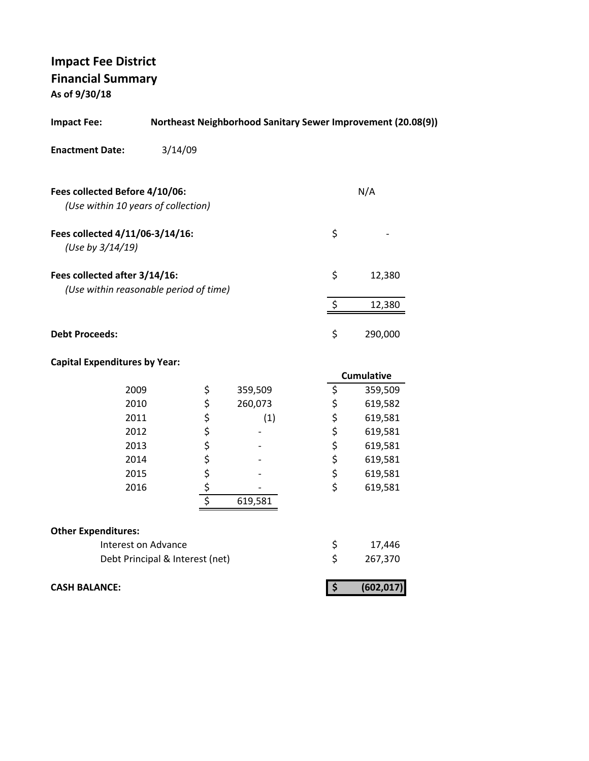**As of 9/30/18**

| <b>Impact Fee:</b>                                                      |                                 |            |         |                                 | Northeast Neighborhood Sanitary Sewer Improvement (20.08(9)) |
|-------------------------------------------------------------------------|---------------------------------|------------|---------|---------------------------------|--------------------------------------------------------------|
| <b>Enactment Date:</b>                                                  | 3/14/09                         |            |         |                                 |                                                              |
| Fees collected Before 4/10/06:<br>(Use within 10 years of collection)   |                                 |            |         |                                 | N/A                                                          |
| Fees collected 4/11/06-3/14/16:<br>(Use by 3/14/19)                     |                                 |            |         | \$                              |                                                              |
| Fees collected after 3/14/16:<br>(Use within reasonable period of time) |                                 |            |         | \$                              | 12,380                                                       |
|                                                                         |                                 |            |         | \$                              | 12,380                                                       |
| <b>Debt Proceeds:</b>                                                   |                                 |            |         | \$                              | 290,000                                                      |
| <b>Capital Expenditures by Year:</b>                                    |                                 |            |         |                                 |                                                              |
|                                                                         |                                 |            |         |                                 | <b>Cumulative</b>                                            |
| 2009                                                                    |                                 | \$         | 359,509 | \$                              | 359,509                                                      |
| 2010                                                                    |                                 | \$         | 260,073 | \$                              | 619,582                                                      |
| 2011                                                                    |                                 | \$         | (1)     | \$                              | 619,581                                                      |
| 2012                                                                    |                                 |            |         | \$                              | 619,581                                                      |
| 2013                                                                    |                                 |            |         | \$                              | 619,581                                                      |
| 2014                                                                    |                                 |            |         | \$                              | 619,581                                                      |
| 2015                                                                    |                                 |            |         | \$                              | 619,581                                                      |
| 2016                                                                    |                                 | \$\$\$\$\$ |         | \$                              | 619,581                                                      |
|                                                                         |                                 |            | 619,581 |                                 |                                                              |
| <b>Other Expenditures:</b>                                              |                                 |            |         |                                 |                                                              |
| Interest on Advance                                                     |                                 |            |         | \$                              | 17,446                                                       |
|                                                                         | Debt Principal & Interest (net) |            |         | \$                              | 267,370                                                      |
| <b>CASH BALANCE:</b>                                                    |                                 |            |         | $\overline{\boldsymbol{\zeta}}$ | (602, 017)                                                   |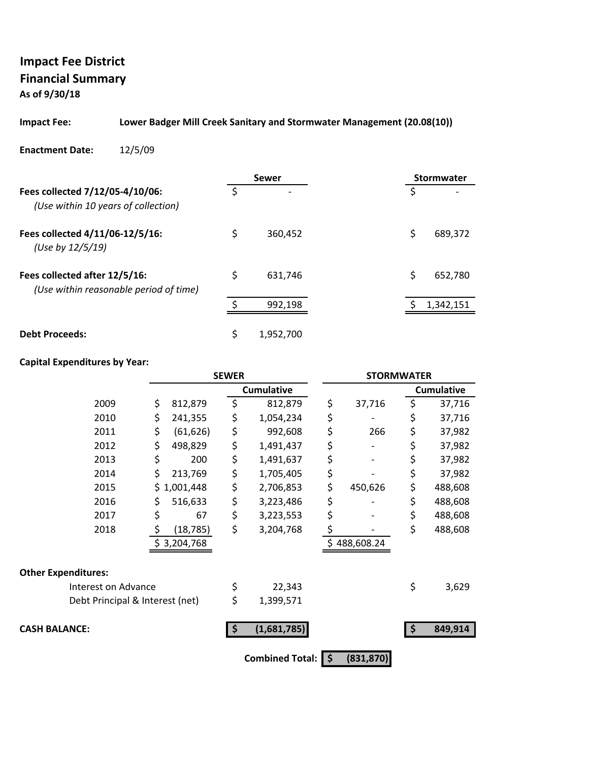**As of 9/30/18**

#### **Impact Fee: Lower Badger Mill Creek Sanitary and Stormwater Management (20.08(10))**

#### **Enactment Date:** 12/5/09

|                                                                         |    | <b>Sewer</b>   |    | Stormwater |
|-------------------------------------------------------------------------|----|----------------|----|------------|
| Fees collected 7/12/05-4/10/06:<br>(Use within 10 years of collection)  | Ś  | $\overline{ }$ | S  |            |
| Fees collected 4/11/06-12/5/16:<br>(Use by 12/5/19)                     | \$ | 360,452        | \$ | 689,372    |
| Fees collected after 12/5/16:<br>(Use within reasonable period of time) | \$ | 631.746        | \$ | 652,780    |
|                                                                         |    | 992,198        |    | 1,342,151  |
| <b>Debt Proceeds:</b>                                                   | \$ | 1,952,700      |    |            |

|                                 | <b>SEWER</b>    |    |                        | <b>STORMWATER</b> |          |                   |
|---------------------------------|-----------------|----|------------------------|-------------------|----------|-------------------|
|                                 |                 |    | <b>Cumulative</b>      |                   |          | <b>Cumulative</b> |
| 2009                            | \$<br>812,879   | \$ | 812,879                | \$<br>37,716      | \$       | 37,716            |
| 2010                            | \$<br>241,355   | \$ | 1,054,234              | \$                | \$       | 37,716            |
| 2011                            | \$<br>(61, 626) | \$ | 992,608                | \$<br>266         | \$       | 37,982            |
| 2012                            | \$<br>498,829   | \$ | 1,491,437              | \$                | \$       | 37,982            |
| 2013                            | \$<br>200       | \$ | 1,491,637              | \$                | \$       | 37,982            |
| 2014                            | \$<br>213,769   | \$ | 1,705,405              | \$                | \$       | 37,982            |
| 2015                            | \$1,001,448     | \$ | 2,706,853              | \$<br>450,626     | \$       | 488,608           |
| 2016                            | \$<br>516,633   | \$ | 3,223,486              | \$                | \$       | 488,608           |
| 2017                            | \$<br>67        | \$ | 3,223,553              | \$                | \$       | 488,608           |
| 2018                            | \$<br>(18, 785) | \$ | 3,204,768              | \$                | \$       | 488,608           |
|                                 | \$3,204,768     |    |                        | \$488,608.24      |          |                   |
| <b>Other Expenditures:</b>      |                 |    |                        |                   |          |                   |
| Interest on Advance             |                 | \$ | 22,343                 |                   | \$       | 3,629             |
| Debt Principal & Interest (net) |                 | \$ | 1,399,571              |                   |          |                   |
| <b>CASH BALANCE:</b>            |                 |    | (1,681,785)            |                   | <b>S</b> | 849,914           |
|                                 |                 |    | <b>Combined Total:</b> | \$<br>(831, 870)  |          |                   |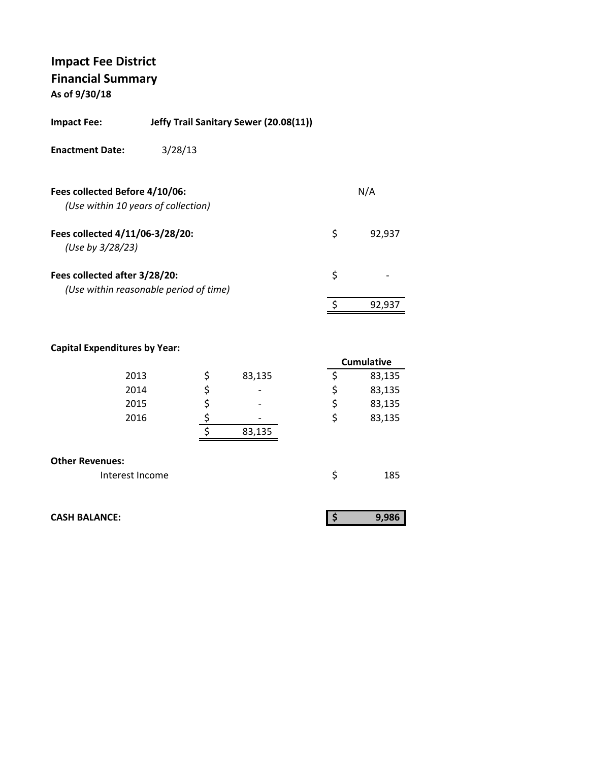**As of 9/30/18**

| <b>Impact Fee:</b>                                  | Jeffy Trail Sanitary Sewer (20.08(11)) |              |
|-----------------------------------------------------|----------------------------------------|--------------|
| <b>Enactment Date:</b>                              | 3/28/13                                |              |
| Fees collected Before 4/10/06:                      | (Use within 10 years of collection)    | N/A          |
| Fees collected 4/11/06-3/28/20:<br>(Use by 3/28/23) |                                        | \$<br>92,937 |
| Fees collected after 3/28/20:                       | (Use within reasonable period of time) | \$           |
|                                                     |                                        | 92,937       |
|                                                     |                                        |              |

|                        |                       | <b>Cumulative</b> |
|------------------------|-----------------------|-------------------|
| 2013                   | \$<br>83,135          | 83,135            |
| 2014                   | \$<br>$\qquad \qquad$ | \$<br>83,135      |
| 2015                   | \$<br>$\qquad \qquad$ | \$<br>83,135      |
| 2016                   |                       | \$<br>83,135      |
|                        | 83,135                |                   |
|                        |                       |                   |
| <b>Other Revenues:</b> |                       |                   |
| Interest Income        |                       | 185               |

| <b>CASH BALANCE:</b> | 9,986 |
|----------------------|-------|
|                      |       |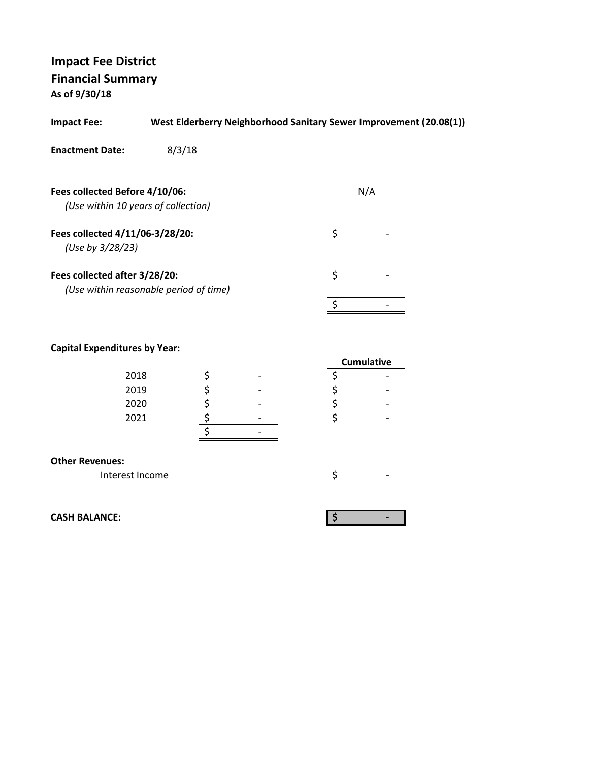**As of 9/30/18**

| <b>Impact Fee:</b>                                                    | West Elderberry Neighborhood Sanitary Sewer Improvement (20.08(1)) |     |  |
|-----------------------------------------------------------------------|--------------------------------------------------------------------|-----|--|
| <b>Enactment Date:</b>                                                | 8/3/18                                                             |     |  |
| Fees collected Before 4/10/06:<br>(Use within 10 years of collection) |                                                                    | N/A |  |
| Fees collected 4/11/06-3/28/20:<br>(Use by 3/28/23)                   |                                                                    | \$  |  |
| Fees collected after 3/28/20:                                         | (Use within reasonable period of time)                             | \$  |  |
|                                                                       |                                                                    |     |  |
|                                                                       |                                                                    |     |  |

### **Capital Expenditures by Year:**

| -    |                          | <b>Cumulative</b> |  |
|------|--------------------------|-------------------|--|
| 2018 | $\overline{\phantom{0}}$ |                   |  |
| 2019 | $\overline{\phantom{0}}$ |                   |  |
| 2020 | $\overline{\phantom{0}}$ |                   |  |
| 2021 | $\overline{\phantom{0}}$ |                   |  |
|      |                          |                   |  |

#### **Other Revenues:**

Interest Income  $\zeta$ 

**CASH BALANCE: \$ ‐**